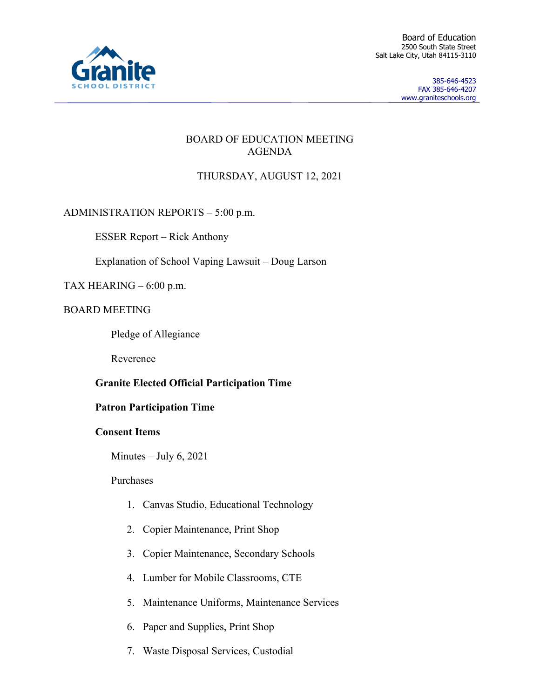

Board of Education 2500 South State Street Salt Lake City, Utah 84115-3110

> 385-646-4523 FAX 385-646-4207 www.graniteschools.org

### BOARD OF EDUCATION MEETING AGENDA

# THURSDAY, AUGUST 12, 2021

# ADMINISTRATION REPORTS – 5:00 p.m.

ESSER Report – Rick Anthony

Explanation of School Vaping Lawsuit – Doug Larson

# TAX HEARING – 6:00 p.m.

# BOARD MEETING

Pledge of Allegiance

Reverence

# **Granite Elected Official Participation Time**

# **Patron Participation Time**

# **Consent Items**

Minutes – July  $6, 2021$ 

### Purchases

- 1. Canvas Studio, Educational Technology
- 2. Copier Maintenance, Print Shop
- 3. Copier Maintenance, Secondary Schools
- 4. Lumber for Mobile Classrooms, CTE
- 5. Maintenance Uniforms, Maintenance Services
- 6. Paper and Supplies, Print Shop
- 7. Waste Disposal Services, Custodial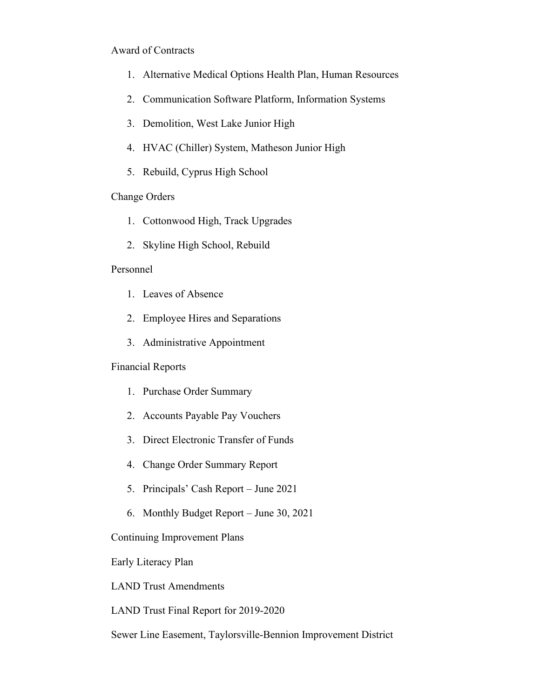#### Award of Contracts

- 1. Alternative Medical Options Health Plan, Human Resources
- 2. Communication Software Platform, Information Systems
- 3. Demolition, West Lake Junior High
- 4. HVAC (Chiller) System, Matheson Junior High
- 5. Rebuild, Cyprus High School

### Change Orders

- 1. Cottonwood High, Track Upgrades
- 2. Skyline High School, Rebuild

### Personnel

- 1. Leaves of Absence
- 2. Employee Hires and Separations
- 3. Administrative Appointment

### Financial Reports

- 1. Purchase Order Summary
- 2. Accounts Payable Pay Vouchers
- 3. Direct Electronic Transfer of Funds
- 4. Change Order Summary Report
- 5. Principals' Cash Report June 2021
- 6. Monthly Budget Report June 30, 2021

### Continuing Improvement Plans

### Early Literacy Plan

LAND Trust Amendments

LAND Trust Final Report for 2019-2020

Sewer Line Easement, Taylorsville-Bennion Improvement District